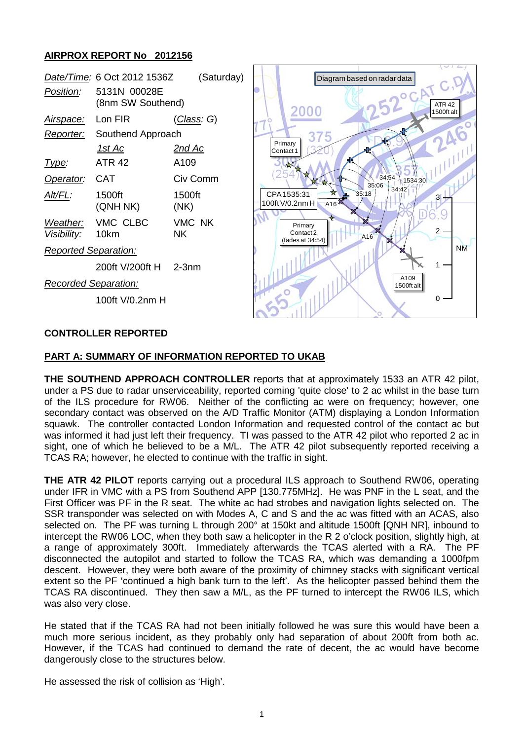## **AIRPROX REPORT No 2012156**

|                             | Date/Time: 6 Oct 2012 1536Z       | (Saturday)          |  |                                                    | Diagram based on radar data |                    |                                  |
|-----------------------------|-----------------------------------|---------------------|--|----------------------------------------------------|-----------------------------|--------------------|----------------------------------|
| Position:                   | 5131N 00028E<br>(8nm SW Southend) |                     |  | 2000                                               |                             |                    | <b>OCAT C.D</b><br><b>ATR 42</b> |
| <u>Airspace:</u>            | Lon FIR                           | (Class: G)          |  |                                                    |                             |                    | 1500ftalt                        |
| Reporter:                   | Southend Approach                 |                     |  | 37                                                 |                             |                    |                                  |
|                             | <u>1st Ac</u>                     | <u>2nd Ac</u>       |  | Primary<br>Contact <sub>1</sub>                    |                             |                    |                                  |
| Type:                       | <b>ATR 42</b>                     | A109                |  |                                                    |                             |                    |                                  |
| Operator:                   | <b>CAT</b>                        | Civ Comm            |  |                                                    | 34:54<br>35:06              | 1534:30            |                                  |
| Alt/FL:                     | 1500ft<br>(QNH NK)                | 1500ft<br>(NK)      |  | CPA1535:31<br>A16 <sup>23</sup><br>100ft V/0.2nm H | 35:18                       | 34:42              |                                  |
| Weather:<br>Visibility:     | VMC CLBC<br>10km                  | VMC NK<br><b>NK</b> |  | Primary<br>Contact 2<br>(fades at 34:54)           | A16                         |                    | $\overline{2}$                   |
| <b>Reported Separation:</b> |                                   |                     |  |                                                    |                             |                    | <b>NM</b>                        |
|                             | 200ft V/200ft H                   | $2-3nm$             |  |                                                    |                             |                    |                                  |
| <b>Recorded Separation:</b> |                                   |                     |  |                                                    |                             | A109<br>1500ft alt |                                  |
|                             | 100ft V/0.2nm H                   |                     |  |                                                    |                             |                    | $\Omega$                         |
|                             |                                   |                     |  |                                                    |                             |                    |                                  |

### **CONTROLLER REPORTED**

#### **PART A: SUMMARY OF INFORMATION REPORTED TO UKAB**

**THE SOUTHEND APPROACH CONTROLLER** reports that at approximately 1533 an ATR 42 pilot, under a PS due to radar unserviceability, reported coming 'quite close' to 2 ac whilst in the base turn of the ILS procedure for RW06. Neither of the conflicting ac were on frequency; however, one secondary contact was observed on the A/D Traffic Monitor (ATM) displaying a London Information squawk. The controller contacted London Information and requested control of the contact ac but was informed it had just left their frequency. TI was passed to the ATR 42 pilot who reported 2 ac in sight, one of which he believed to be a M/L. The ATR 42 pilot subsequently reported receiving a TCAS RA; however, he elected to continue with the traffic in sight.

**THE ATR 42 PILOT** reports carrying out a procedural ILS approach to Southend RW06, operating under IFR in VMC with a PS from Southend APP [130.775MHz]. He was PNF in the L seat, and the First Officer was PF in the R seat. The white ac had strobes and navigation lights selected on. The SSR transponder was selected on with Modes A, C and S and the ac was fitted with an ACAS, also selected on. The PF was turning L through 200° at 150kt and altitude 1500ft [QNH NR], inbound to intercept the RW06 LOC, when they both saw a helicopter in the R 2 o'clock position, slightly high, at a range of approximately 300ft. Immediately afterwards the TCAS alerted with a RA. The PF disconnected the autopilot and started to follow the TCAS RA, which was demanding a 1000fpm descent. However, they were both aware of the proximity of chimney stacks with significant vertical extent so the PF 'continued a high bank turn to the left'. As the helicopter passed behind them the TCAS RA discontinued. They then saw a M/L, as the PF turned to intercept the RW06 ILS, which was also very close.

He stated that if the TCAS RA had not been initially followed he was sure this would have been a much more serious incident, as they probably only had separation of about 200ft from both ac. However, if the TCAS had continued to demand the rate of decent, the ac would have become dangerously close to the structures below.

He assessed the risk of collision as 'High'.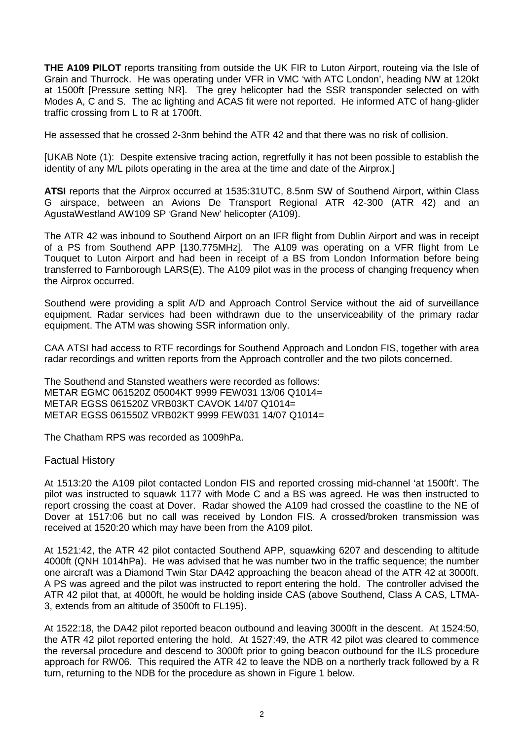**THE A109 PILOT** reports transiting from outside the UK FIR to Luton Airport, routeing via the Isle of Grain and Thurrock. He was operating under VFR in VMC 'with ATC London', heading NW at 120kt at 1500ft [Pressure setting NR]. The grey helicopter had the SSR transponder selected on with Modes A, C and S. The ac lighting and ACAS fit were not reported. He informed ATC of hang-glider traffic crossing from L to R at 1700ft.

He assessed that he crossed 2-3nm behind the ATR 42 and that there was no risk of collision.

[UKAB Note (1): Despite extensive tracing action, regretfully it has not been possible to establish the identity of any M/L pilots operating in the area at the time and date of the Airprox.]

**ATSI** reports that the Airprox occurred at 1535:31UTC, 8.5nm SW of Southend Airport, within Class G airspace, between an Avions De Transport Regional ATR 42-300 (ATR 42) and an AgustaWestland AW109 SP 'Grand New' helicopter (A109).

The ATR 42 was inbound to Southend Airport on an IFR flight from Dublin Airport and was in receipt of a PS from Southend APP [130.775MHz]. The A109 was operating on a VFR flight from Le Touquet to Luton Airport and had been in receipt of a BS from London Information before being transferred to Farnborough LARS(E). The A109 pilot was in the process of changing frequency when the Airprox occurred.

Southend were providing a split A/D and Approach Control Service without the aid of surveillance equipment. Radar services had been withdrawn due to the unserviceability of the primary radar equipment. The ATM was showing SSR information only.

CAA ATSI had access to RTF recordings for Southend Approach and London FIS, together with area radar recordings and written reports from the Approach controller and the two pilots concerned.

The Southend and Stansted weathers were recorded as follows: METAR EGMC 061520Z 05004KT 9999 FEW031 13/06 Q1014= METAR EGSS 061520Z VRB03KT CAVOK 14/07 Q1014= METAR EGSS 061550Z VRB02KT 9999 FEW031 14/07 Q1014=

The Chatham RPS was recorded as 1009hPa.

### Factual History

At 1513:20 the A109 pilot contacted London FIS and reported crossing mid-channel 'at 1500ft'. The pilot was instructed to squawk 1177 with Mode C and a BS was agreed. He was then instructed to report crossing the coast at Dover. Radar showed the A109 had crossed the coastline to the NE of Dover at 1517:06 but no call was received by London FIS. A crossed/broken transmission was received at 1520:20 which may have been from the A109 pilot.

At 1521:42, the ATR 42 pilot contacted Southend APP, squawking 6207 and descending to altitude 4000ft (QNH 1014hPa). He was advised that he was number two in the traffic sequence; the number one aircraft was a Diamond Twin Star DA42 approaching the beacon ahead of the ATR 42 at 3000ft. A PS was agreed and the pilot was instructed to report entering the hold. The controller advised the ATR 42 pilot that, at 4000ft, he would be holding inside CAS (above Southend, Class A CAS, LTMA-3, extends from an altitude of 3500ft to FL195).

At 1522:18, the DA42 pilot reported beacon outbound and leaving 3000ft in the descent. At 1524:50, the ATR 42 pilot reported entering the hold. At 1527:49, the ATR 42 pilot was cleared to commence the reversal procedure and descend to 3000ft prior to going beacon outbound for the ILS procedure approach for RW06. This required the ATR 42 to leave the NDB on a northerly track followed by a R turn, returning to the NDB for the procedure as shown in Figure 1 below.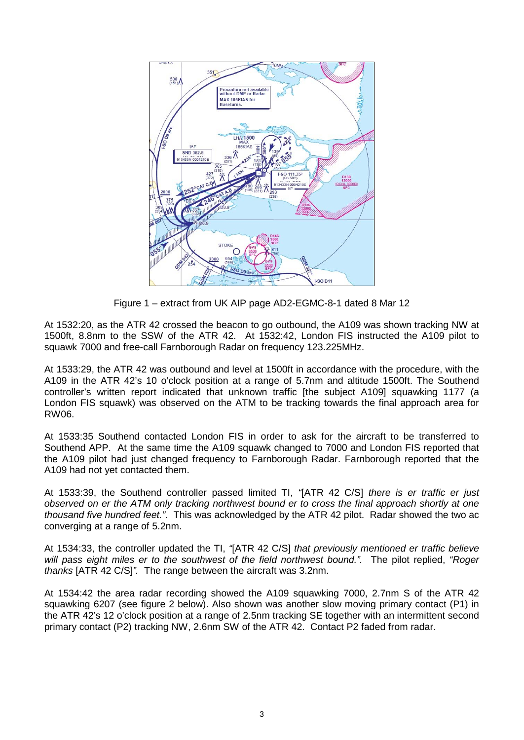

Figure 1 – extract from UK AIP page AD2-EGMC-8-1 dated 8 Mar 12

At 1532:20, as the ATR 42 crossed the beacon to go outbound, the A109 was shown tracking NW at 1500ft, 8.8nm to the SSW of the ATR 42. At 1532:42, London FIS instructed the A109 pilot to squawk 7000 and free-call Farnborough Radar on frequency 123.225MHz.

At 1533:29, the ATR 42 was outbound and level at 1500ft in accordance with the procedure, with the A109 in the ATR 42's 10 o'clock position at a range of 5.7nm and altitude 1500ft. The Southend controller's written report indicated that unknown traffic [the subject A109] squawking 1177 (a London FIS squawk) was observed on the ATM to be tracking towards the final approach area for RW06.

At 1533:35 Southend contacted London FIS in order to ask for the aircraft to be transferred to Southend APP. At the same time the A109 squawk changed to 7000 and London FIS reported that the A109 pilot had just changed frequency to Farnborough Radar. Farnborough reported that the A109 had not yet contacted them.

At 1533:39, the Southend controller passed limited TI, *"*[ATR 42 C/S] *there is er traffic er just observed on er the ATM only tracking northwest bound er to cross the final approach shortly at one thousand five hundred feet."*. This was acknowledged by the ATR 42 pilot. Radar showed the two ac converging at a range of 5.2nm.

At 1534:33, the controller updated the TI, *"*[ATR 42 C/S] *that previously mentioned er traffic believe will pass eight miles er to the southwest of the field northwest bound.".* The pilot replied, *"Roger thanks* [ATR 42 C/S]*".* The range between the aircraft was 3.2nm.

At 1534:42 the area radar recording showed the A109 squawking 7000, 2.7nm S of the ATR 42 squawking 6207 (see figure 2 below). Also shown was another slow moving primary contact (P1) in the ATR 42's 12 o'clock position at a range of 2.5nm tracking SE together with an intermittent second primary contact (P2) tracking NW, 2.6nm SW of the ATR 42. Contact P2 faded from radar.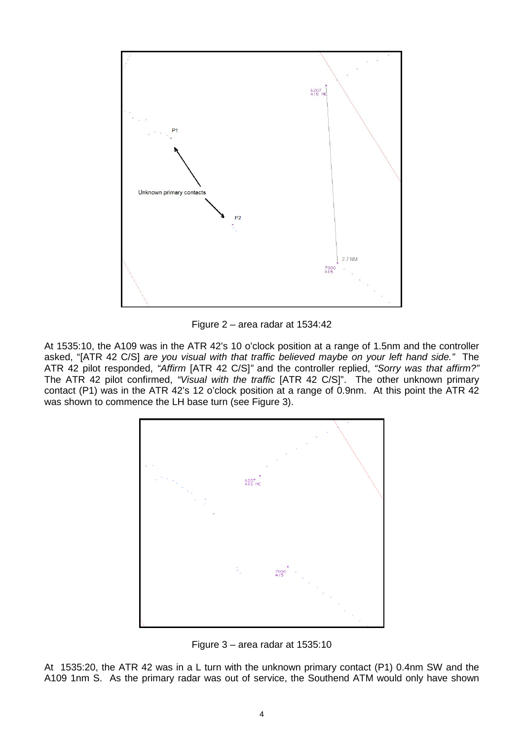

Figure 2 – area radar at 1534:42

At 1535:10, the A109 was in the ATR 42's 10 o'clock position at a range of 1.5nm and the controller asked, "[ATR 42 C/S] *are you visual with that traffic believed maybe on your left hand side."* The ATR 42 pilot responded, *"Affirm* [ATR 42 C/S]*"* and the controller replied, *"Sorry was that affirm?"* The ATR 42 pilot confirmed, *"Visual with the traffic* [ATR 42 C/S]". The other unknown primary contact (P1) was in the ATR 42's 12 o'clock position at a range of 0.9nm. At this point the ATR 42 was shown to commence the LH base turn (see Figure 3).



Figure 3 – area radar at 1535:10

At 1535:20, the ATR 42 was in a L turn with the unknown primary contact (P1) 0.4nm SW and the A109 1nm S. As the primary radar was out of service, the Southend ATM would only have shown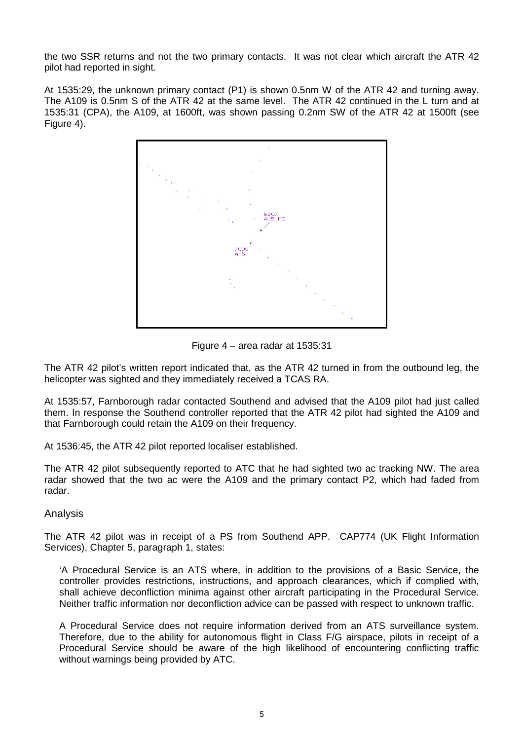the two SSR returns and not the two primary contacts. It was not clear which aircraft the ATR 42 pilot had reported in sight.

At 1535:29, the unknown primary contact (P1) is shown 0.5nm W of the ATR 42 and turning away. The A109 is 0.5nm S of the ATR 42 at the same level. The ATR 42 continued in the L turn and at 1535:31 (CPA), the A109, at 1600ft, was shown passing 0.2nm SW of the ATR 42 at 1500ft (see Figure 4).



Figure 4 – area radar at 1535:31

The ATR 42 pilot's written report indicated that, as the ATR 42 turned in from the outbound leg, the helicopter was sighted and they immediately received a TCAS RA.

At 1535:57, Farnborough radar contacted Southend and advised that the A109 pilot had just called them. In response the Southend controller reported that the ATR 42 pilot had sighted the A109 and that Farnborough could retain the A109 on their frequency.

At 1536:45, the ATR 42 pilot reported localiser established.

The ATR 42 pilot subsequently reported to ATC that he had sighted two ac tracking NW. The area radar showed that the two ac were the A109 and the primary contact P2, which had faded from radar.

# Analysis

The ATR 42 pilot was in receipt of a PS from Southend APP. CAP774 (UK Flight Information Services), Chapter 5, paragraph 1, states:

'A Procedural Service is an ATS where, in addition to the provisions of a Basic Service, the controller provides restrictions, instructions, and approach clearances, which if complied with, shall achieve deconfliction minima against other aircraft participating in the Procedural Service. Neither traffic information nor deconfliction advice can be passed with respect to unknown traffic.

A Procedural Service does not require information derived from an ATS surveillance system. Therefore, due to the ability for autonomous flight in Class F/G airspace, pilots in receipt of a Procedural Service should be aware of the high likelihood of encountering conflicting traffic without warnings being provided by ATC.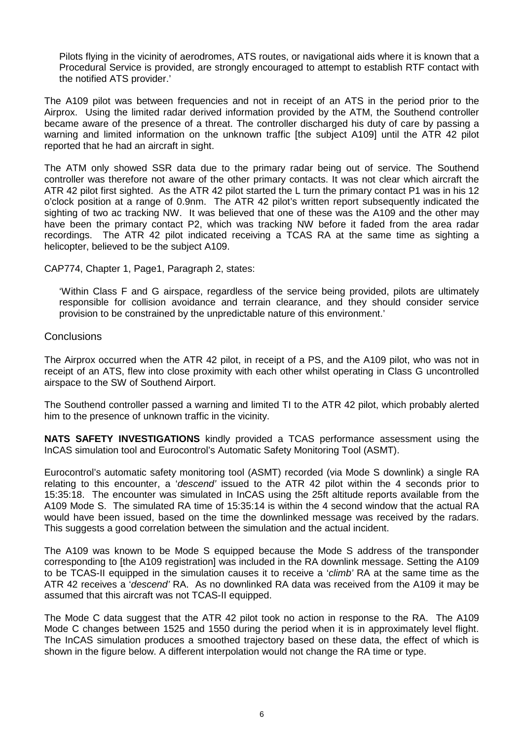Pilots flying in the vicinity of aerodromes, ATS routes, or navigational aids where it is known that a Procedural Service is provided, are strongly encouraged to attempt to establish RTF contact with the notified ATS provider.'

The A109 pilot was between frequencies and not in receipt of an ATS in the period prior to the Airprox. Using the limited radar derived information provided by the ATM, the Southend controller became aware of the presence of a threat. The controller discharged his duty of care by passing a warning and limited information on the unknown traffic [the subject A109] until the ATR 42 pilot reported that he had an aircraft in sight.

The ATM only showed SSR data due to the primary radar being out of service. The Southend controller was therefore not aware of the other primary contacts. It was not clear which aircraft the ATR 42 pilot first sighted. As the ATR 42 pilot started the L turn the primary contact P1 was in his 12 o'clock position at a range of 0.9nm. The ATR 42 pilot's written report subsequently indicated the sighting of two ac tracking NW. It was believed that one of these was the A109 and the other may have been the primary contact P2, which was tracking NW before it faded from the area radar recordings. The ATR 42 pilot indicated receiving a TCAS RA at the same time as sighting a helicopter, believed to be the subject A109.

CAP774, Chapter 1, Page1, Paragraph 2, states:

'Within Class F and G airspace, regardless of the service being provided, pilots are ultimately responsible for collision avoidance and terrain clearance, and they should consider service provision to be constrained by the unpredictable nature of this environment.'

#### **Conclusions**

The Airprox occurred when the ATR 42 pilot, in receipt of a PS, and the A109 pilot, who was not in receipt of an ATS, flew into close proximity with each other whilst operating in Class G uncontrolled airspace to the SW of Southend Airport.

The Southend controller passed a warning and limited TI to the ATR 42 pilot, which probably alerted him to the presence of unknown traffic in the vicinity.

**NATS SAFETY INVESTIGATIONS** kindly provided a TCAS performance assessment using the InCAS simulation tool and Eurocontrol's Automatic Safety Monitoring Tool (ASMT).

Eurocontrol's automatic safety monitoring tool (ASMT) recorded (via Mode S downlink) a single RA relating to this encounter, a '*descend'* issued to the ATR 42 pilot within the 4 seconds prior to 15:35:18. The encounter was simulated in InCAS using the 25ft altitude reports available from the A109 Mode S. The simulated RA time of 15:35:14 is within the 4 second window that the actual RA would have been issued, based on the time the downlinked message was received by the radars. This suggests a good correlation between the simulation and the actual incident.

The A109 was known to be Mode S equipped because the Mode S address of the transponder corresponding to [the A109 registration] was included in the RA downlink message. Setting the A109 to be TCAS-II equipped in the simulation causes it to receive a '*climb'* RA at the same time as the ATR 42 receives a '*descend'* RA. As no downlinked RA data was received from the A109 it may be assumed that this aircraft was not TCAS-II equipped.

The Mode C data suggest that the ATR 42 pilot took no action in response to the RA. The A109 Mode C changes between 1525 and 1550 during the period when it is in approximately level flight. The InCAS simulation produces a smoothed trajectory based on these data, the effect of which is shown in the figure below. A different interpolation would not change the RA time or type.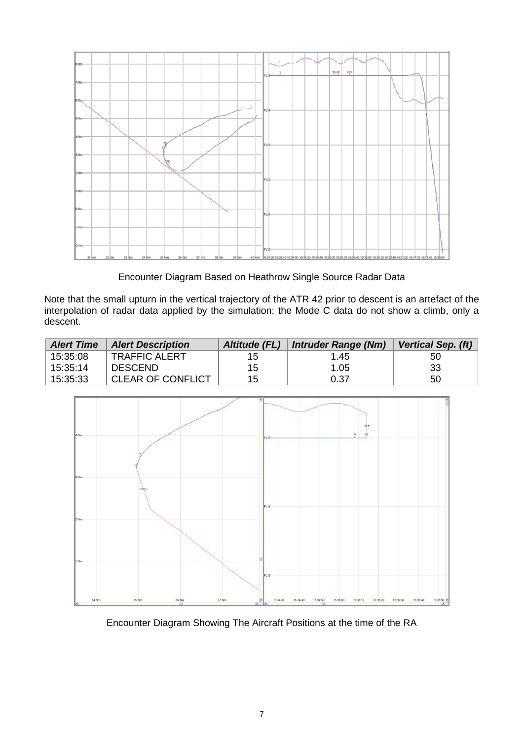

Encounter Diagram Based on Heathrow Single Source Radar Data

Note that the small upturn in the vertical trajectory of the ATR 42 prior to descent is an artefact of the interpolation of radar data applied by the simulation; the Mode C data do not show a climb, only a descent.

| <b>Alert Time</b> | <b>Alert Description</b> | Altitude (FL) | <b>Intruder Range (Nm)</b> | <b>Vertical Sep. (ft)</b> |
|-------------------|--------------------------|---------------|----------------------------|---------------------------|
| 15:35:08          | <b>TRAFFIC ALERT</b>     | 15            | 1.45                       | 50                        |
| 15:35:14          | <b>DESCEND</b>           | 15            | 1.05                       | 33                        |
| 15:35:33          | <b>CLEAR OF CONFLICT</b> | 15            | 0.37                       | 50                        |



Encounter Diagram Showing The Aircraft Positions at the time of the RA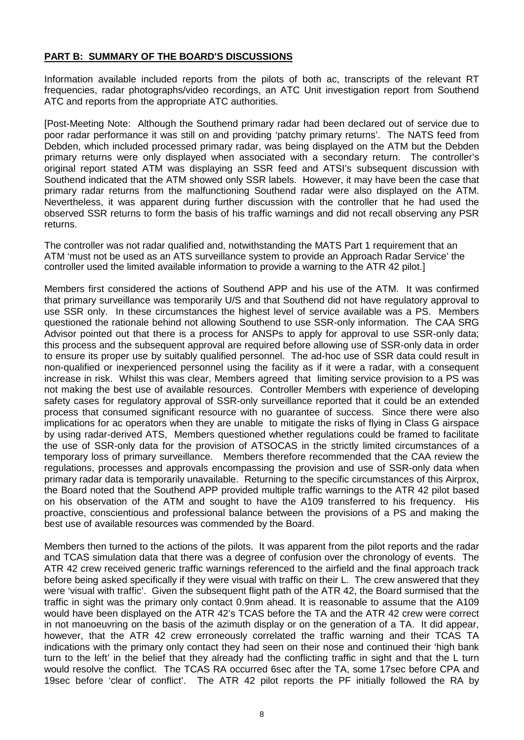### **PART B: SUMMARY OF THE BOARD'S DISCUSSIONS**

Information available included reports from the pilots of both ac, transcripts of the relevant RT frequencies, radar photographs/video recordings, an ATC Unit investigation report from Southend ATC and reports from the appropriate ATC authorities.

[Post-Meeting Note: Although the Southend primary radar had been declared out of service due to poor radar performance it was still on and providing 'patchy primary returns'. The NATS feed from Debden, which included processed primary radar, was being displayed on the ATM but the Debden primary returns were only displayed when associated with a secondary return. The controller's original report stated ATM was displaying an SSR feed and ATSI's subsequent discussion with Southend indicated that the ATM showed only SSR labels. However, it may have been the case that primary radar returns from the malfunctioning Southend radar were also displayed on the ATM. Nevertheless, it was apparent during further discussion with the controller that he had used the observed SSR returns to form the basis of his traffic warnings and did not recall observing any PSR returns.

The controller was not radar qualified and, notwithstanding the MATS Part 1 requirement that an ATM 'must not be used as an ATS surveillance system to provide an Approach Radar Service' the controller used the limited available information to provide a warning to the ATR 42 pilot.]

Members first considered the actions of Southend APP and his use of the ATM. It was confirmed that primary surveillance was temporarily U/S and that Southend did not have regulatory approval to use SSR only. In these circumstances the highest level of service available was a PS. Members questioned the rationale behind not allowing Southend to use SSR-only information. The CAA SRG Advisor pointed out that there is a process for ANSPs to apply for approval to use SSR-only data; this process and the subsequent approval are required before allowing use of SSR-only data in order to ensure its proper use by suitably qualified personnel. The ad-hoc use of SSR data could result in non-qualified or inexperienced personnel using the facility as if it were a radar, with a consequent increase in risk. Whilst this was clear, Members agreed that limiting service provision to a PS was not making the best use of available resources. Controller Members with experience of developing safety cases for regulatory approval of SSR-only surveillance reported that it could be an extended process that consumed significant resource with no guarantee of success. Since there were also implications for ac operators when they are unable to mitigate the risks of flying in Class G airspace by using radar-derived ATS, Members questioned whether regulations could be framed to facilitate the use of SSR-only data for the provision of ATSOCAS in the strictly limited circumstances of a temporary loss of primary surveillance. Members therefore recommended that the CAA review the regulations, processes and approvals encompassing the provision and use of SSR-only data when primary radar data is temporarily unavailable. Returning to the specific circumstances of this Airprox, the Board noted that the Southend APP provided multiple traffic warnings to the ATR 42 pilot based on his observation of the ATM and sought to have the A109 transferred to his frequency. His proactive, conscientious and professional balance between the provisions of a PS and making the best use of available resources was commended by the Board.

Members then turned to the actions of the pilots. It was apparent from the pilot reports and the radar and TCAS simulation data that there was a degree of confusion over the chronology of events. The ATR 42 crew received generic traffic warnings referenced to the airfield and the final approach track before being asked specifically if they were visual with traffic on their L. The crew answered that they were 'visual with traffic'. Given the subsequent flight path of the ATR 42, the Board surmised that the traffic in sight was the primary only contact 0.9nm ahead. It is reasonable to assume that the A109 would have been displayed on the ATR 42's TCAS before the TA and the ATR 42 crew were correct in not manoeuvring on the basis of the azimuth display or on the generation of a TA. It did appear, however, that the ATR 42 crew erroneously correlated the traffic warning and their TCAS TA indications with the primary only contact they had seen on their nose and continued their 'high bank turn to the left' in the belief that they already had the conflicting traffic in sight and that the L turn would resolve the conflict. The TCAS RA occurred 6sec after the TA, some 17sec before CPA and 19sec before 'clear of conflict'. The ATR 42 pilot reports the PF initially followed the RA by